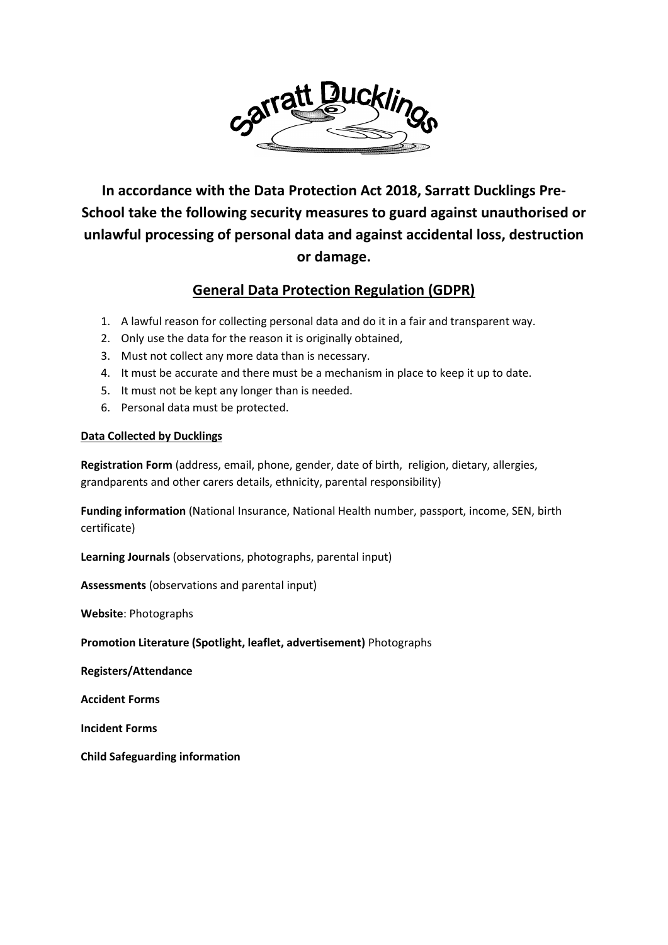

**In accordance with the Data Protection Act 2018, Sarratt Ducklings Pre-School take the following security measures to guard against unauthorised or unlawful processing of personal data and against accidental loss, destruction or damage.**

# **General Data Protection Regulation (GDPR)**

- 1. A lawful reason for collecting personal data and do it in a fair and transparent way.
- 2. Only use the data for the reason it is originally obtained,
- 3. Must not collect any more data than is necessary.
- 4. It must be accurate and there must be a mechanism in place to keep it up to date.
- 5. It must not be kept any longer than is needed.
- 6. Personal data must be protected.

# **Data Collected by Ducklings**

**Registration Form** (address, email, phone, gender, date of birth, religion, dietary, allergies, grandparents and other carers details, ethnicity, parental responsibility)

**Funding information** (National Insurance, National Health number, passport, income, SEN, birth certificate)

**Learning Journals** (observations, photographs, parental input)

**Assessments** (observations and parental input)

**Website**: Photographs

**Promotion Literature (Spotlight, leaflet, advertisement)** Photographs

**Registers/Attendance**

**Accident Forms**

**Incident Forms**

**Child Safeguarding information**